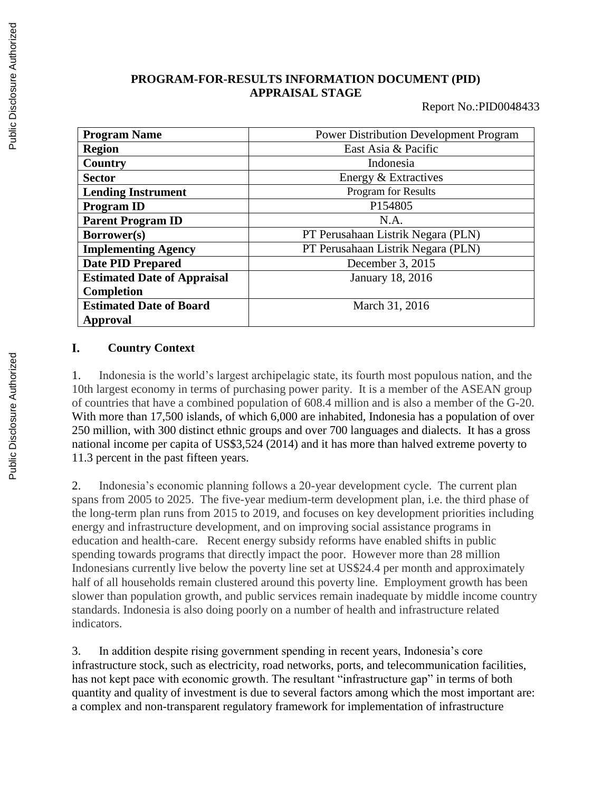## **PROGRAM-FOR-RESULTS INFORMATION DOCUMENT (PID) APPRAISAL STAGE**

Report No.:PID0048433

| <b>Program Name</b>                | <b>Power Distribution Development Program</b> |  |  |
|------------------------------------|-----------------------------------------------|--|--|
| <b>Region</b>                      | East Asia & Pacific                           |  |  |
| <b>Country</b>                     | Indonesia                                     |  |  |
| <b>Sector</b>                      | Energy & Extractives                          |  |  |
| <b>Lending Instrument</b>          | Program for Results                           |  |  |
| <b>Program ID</b>                  | P154805                                       |  |  |
| <b>Parent Program ID</b>           | N.A.                                          |  |  |
| Borrower(s)                        | PT Perusahaan Listrik Negara (PLN)            |  |  |
| <b>Implementing Agency</b>         | PT Perusahaan Listrik Negara (PLN)            |  |  |
| <b>Date PID Prepared</b>           | December 3, 2015                              |  |  |
| <b>Estimated Date of Appraisal</b> | <b>January 18, 2016</b>                       |  |  |
| <b>Completion</b>                  |                                               |  |  |
| <b>Estimated Date of Board</b>     | March 31, 2016                                |  |  |
| Approval                           |                                               |  |  |

#### L. **Country Context**

1. Indonesia is the world's largest archipelagic state, its fourth most populous nation, and the 10th largest economy in terms of purchasing power parity. It is a member of the ASEAN group of countries that have a combined population of 608.4 million and is also a member of the G-20. With more than 17,500 islands, of which 6,000 are inhabited, Indonesia has a population of over 250 million, with 300 distinct ethnic groups and over 700 languages and dialects. It has a gross national income per capita of US\$3,524 (2014) and it has more than halved extreme poverty to 11.3 percent in the past fifteen years.

2. Indonesia's economic planning follows a 20-year development cycle. The current plan spans from 2005 to 2025. The five-year medium-term development plan, i.e. the third phase of the long-term plan runs from 2015 to 2019, and focuses on key development priorities including energy and infrastructure development, and on improving social assistance programs in education and health-care. Recent energy subsidy reforms have enabled shifts in public spending towards programs that directly impact the poor. However more than 28 million Indonesians currently live below the poverty line set at US\$24.4 per month and approximately half of all households remain clustered around this poverty line. Employment growth has been slower than population growth, and public services remain inadequate by middle income country standards. Indonesia is also doing poorly on a number of health and infrastructure related indicators.

3. In addition despite rising government spending in recent years, Indonesia's core infrastructure stock, such as electricity, road networks, ports, and telecommunication facilities, has not kept pace with economic growth. The resultant "infrastructure gap" in terms of both quantity and quality of investment is due to several factors among which the most important are: a complex and non-transparent regulatory framework for implementation of infrastructure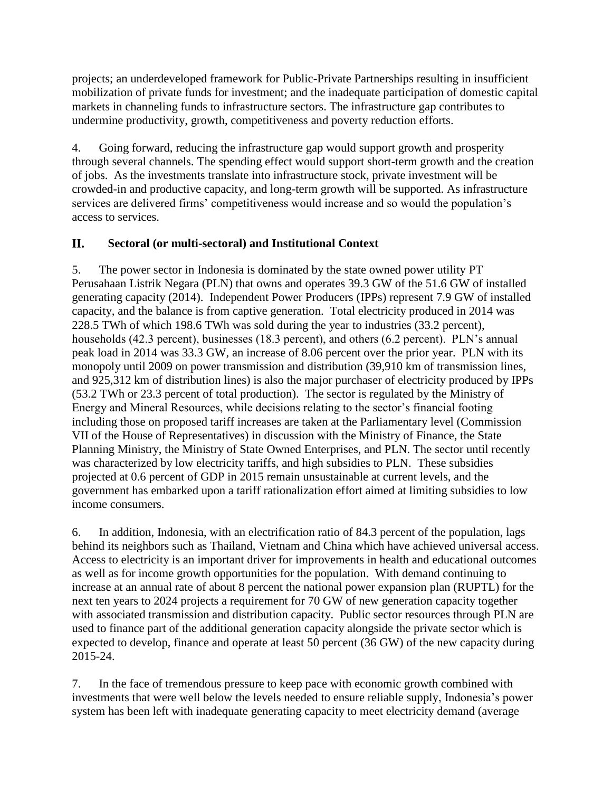projects; an underdeveloped framework for Public-Private Partnerships resulting in insufficient mobilization of private funds for investment; and the inadequate participation of domestic capital markets in channeling funds to infrastructure sectors. The infrastructure gap contributes to undermine productivity, growth, competitiveness and poverty reduction efforts.

4. Going forward, reducing the infrastructure gap would support growth and prosperity through several channels. The spending effect would support short-term growth and the creation of jobs. As the investments translate into infrastructure stock, private investment will be crowded-in and productive capacity, and long-term growth will be supported. As infrastructure services are delivered firms' competitiveness would increase and so would the population's access to services.

#### II. **Sectoral (or multi-sectoral) and Institutional Context**

5. The power sector in Indonesia is dominated by the state owned power utility PT Perusahaan Listrik Negara (PLN) that owns and operates 39.3 GW of the 51.6 GW of installed generating capacity (2014). Independent Power Producers (IPPs) represent 7.9 GW of installed capacity, and the balance is from captive generation. Total electricity produced in 2014 was 228.5 TWh of which 198.6 TWh was sold during the year to industries (33.2 percent), households (42.3 percent), businesses (18.3 percent), and others (6.2 percent). PLN's annual peak load in 2014 was 33.3 GW, an increase of 8.06 percent over the prior year. PLN with its monopoly until 2009 on power transmission and distribution (39,910 km of transmission lines, and 925,312 km of distribution lines) is also the major purchaser of electricity produced by IPPs (53.2 TWh or 23.3 percent of total production). The sector is regulated by the Ministry of Energy and Mineral Resources, while decisions relating to the sector's financial footing including those on proposed tariff increases are taken at the Parliamentary level (Commission VII of the House of Representatives) in discussion with the Ministry of Finance, the State Planning Ministry, the Ministry of State Owned Enterprises, and PLN. The sector until recently was characterized by low electricity tariffs, and high subsidies to PLN. These subsidies projected at 0.6 percent of GDP in 2015 remain unsustainable at current levels, and the government has embarked upon a tariff rationalization effort aimed at limiting subsidies to low income consumers.

6. In addition, Indonesia, with an electrification ratio of 84.3 percent of the population, lags behind its neighbors such as Thailand, Vietnam and China which have achieved universal access. Access to electricity is an important driver for improvements in health and educational outcomes as well as for income growth opportunities for the population. With demand continuing to increase at an annual rate of about 8 percent the national power expansion plan (RUPTL) for the next ten years to 2024 projects a requirement for 70 GW of new generation capacity together with associated transmission and distribution capacity. Public sector resources through PLN are used to finance part of the additional generation capacity alongside the private sector which is expected to develop, finance and operate at least 50 percent (36 GW) of the new capacity during 2015-24.

7. In the face of tremendous pressure to keep pace with economic growth combined with investments that were well below the levels needed to ensure reliable supply, Indonesia's power system has been left with inadequate generating capacity to meet electricity demand (average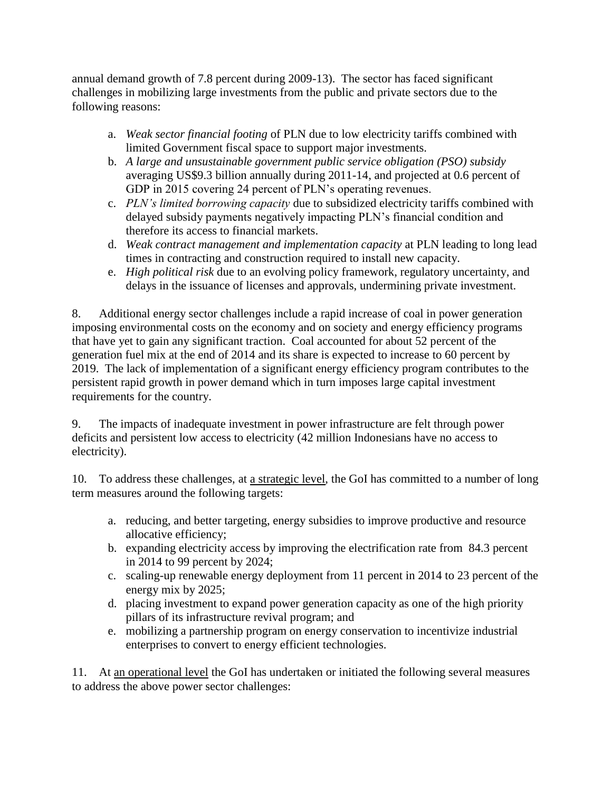annual demand growth of 7.8 percent during 2009-13). The sector has faced significant challenges in mobilizing large investments from the public and private sectors due to the following reasons:

- a. *Weak sector financial footing* of PLN due to low electricity tariffs combined with limited Government fiscal space to support major investments.
- b. *A large and unsustainable government public service obligation (PSO) subsidy* averaging US\$9.3 billion annually during 2011-14, and projected at 0.6 percent of GDP in 2015 covering 24 percent of PLN's operating revenues.
- c. *PLN's limited borrowing capacity* due to subsidized electricity tariffs combined with delayed subsidy payments negatively impacting PLN's financial condition and therefore its access to financial markets.
- d. *Weak contract management and implementation capacity* at PLN leading to long lead times in contracting and construction required to install new capacity.
- e. *High political risk* due to an evolving policy framework, regulatory uncertainty, and delays in the issuance of licenses and approvals, undermining private investment.

8. Additional energy sector challenges include a rapid increase of coal in power generation imposing environmental costs on the economy and on society and energy efficiency programs that have yet to gain any significant traction. Coal accounted for about 52 percent of the generation fuel mix at the end of 2014 and its share is expected to increase to 60 percent by 2019. The lack of implementation of a significant energy efficiency program contributes to the persistent rapid growth in power demand which in turn imposes large capital investment requirements for the country.

9. The impacts of inadequate investment in power infrastructure are felt through power deficits and persistent low access to electricity (42 million Indonesians have no access to electricity).

10. To address these challenges, at a strategic level, the GoI has committed to a number of long term measures around the following targets:

- a. reducing, and better targeting, energy subsidies to improve productive and resource allocative efficiency;
- b. expanding electricity access by improving the electrification rate from 84.3 percent in 2014 to 99 percent by 2024;
- c. scaling-up renewable energy deployment from 11 percent in 2014 to 23 percent of the energy mix by 2025;
- d. placing investment to expand power generation capacity as one of the high priority pillars of its infrastructure revival program; and
- e. mobilizing a partnership program on energy conservation to incentivize industrial enterprises to convert to energy efficient technologies.

11. At an operational level the GoI has undertaken or initiated the following several measures to address the above power sector challenges: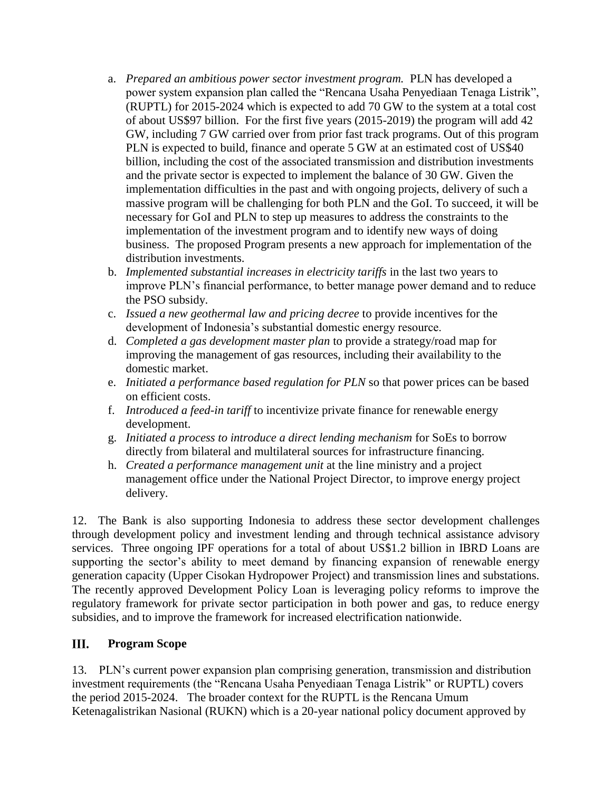- a. *Prepared an ambitious power sector investment program.* PLN has developed a power system expansion plan called the "Rencana Usaha Penyediaan Tenaga Listrik", (RUPTL) for 2015-2024 which is expected to add 70 GW to the system at a total cost of about US\$97 billion. For the first five years (2015-2019) the program will add 42 GW, including 7 GW carried over from prior fast track programs. Out of this program PLN is expected to build, finance and operate 5 GW at an estimated cost of US\$40 billion, including the cost of the associated transmission and distribution investments and the private sector is expected to implement the balance of 30 GW. Given the implementation difficulties in the past and with ongoing projects, delivery of such a massive program will be challenging for both PLN and the GoI. To succeed, it will be necessary for GoI and PLN to step up measures to address the constraints to the implementation of the investment program and to identify new ways of doing business. The proposed Program presents a new approach for implementation of the distribution investments.
- b. *Implemented substantial increases in electricity tariffs* in the last two years to improve PLN's financial performance, to better manage power demand and to reduce the PSO subsidy.
- c. *Issued a new geothermal law and pricing decree* to provide incentives for the development of Indonesia's substantial domestic energy resource.
- d. *Completed a gas development master plan* to provide a strategy/road map for improving the management of gas resources, including their availability to the domestic market.
- e. *Initiated a performance based regulation for PLN* so that power prices can be based on efficient costs.
- f. *Introduced a feed-in tariff* to incentivize private finance for renewable energy development.
- g. *Initiated a process to introduce a direct lending mechanism* for SoEs to borrow directly from bilateral and multilateral sources for infrastructure financing.
- h. *Created a performance management unit* at the line ministry and a project management office under the National Project Director, to improve energy project delivery.

12. The Bank is also supporting Indonesia to address these sector development challenges through development policy and investment lending and through technical assistance advisory services. Three ongoing IPF operations for a total of about US\$1.2 billion in IBRD Loans are supporting the sector's ability to meet demand by financing expansion of renewable energy generation capacity (Upper Cisokan Hydropower Project) and transmission lines and substations. The recently approved Development Policy Loan is leveraging policy reforms to improve the regulatory framework for private sector participation in both power and gas, to reduce energy subsidies, and to improve the framework for increased electrification nationwide.

#### III. **Program Scope**

13. PLN's current power expansion plan comprising generation, transmission and distribution investment requirements (the "Rencana Usaha Penyediaan Tenaga Listrik" or RUPTL) covers the period 2015-2024. The broader context for the RUPTL is the Rencana Umum Ketenagalistrikan Nasional (RUKN) which is a 20-year national policy document approved by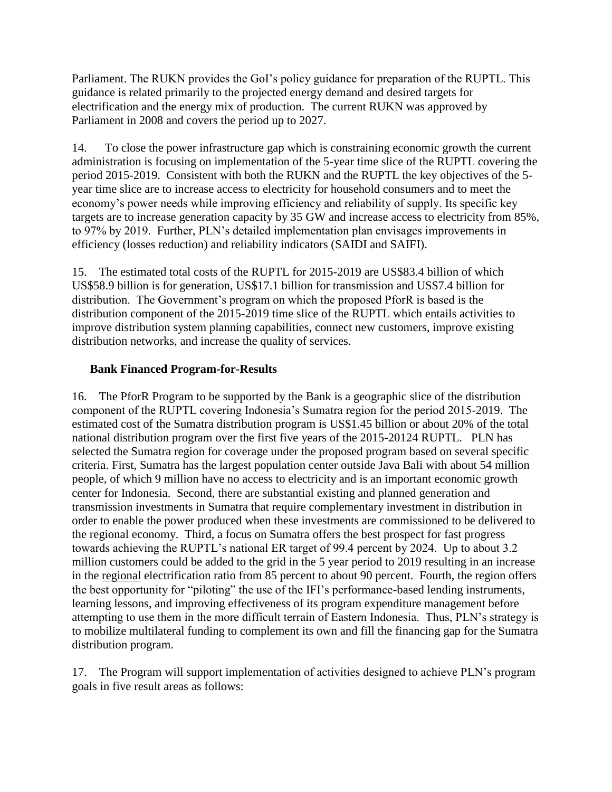Parliament. The RUKN provides the GoI's policy guidance for preparation of the RUPTL. This guidance is related primarily to the projected energy demand and desired targets for electrification and the energy mix of production. The current RUKN was approved by Parliament in 2008 and covers the period up to 2027.

14. To close the power infrastructure gap which is constraining economic growth the current administration is focusing on implementation of the 5-year time slice of the RUPTL covering the period 2015-2019. Consistent with both the RUKN and the RUPTL the key objectives of the 5 year time slice are to increase access to electricity for household consumers and to meet the economy's power needs while improving efficiency and reliability of supply. Its specific key targets are to increase generation capacity by 35 GW and increase access to electricity from 85%, to 97% by 2019. Further, PLN's detailed implementation plan envisages improvements in efficiency (losses reduction) and reliability indicators (SAIDI and SAIFI).

15. The estimated total costs of the RUPTL for 2015-2019 are US\$83.4 billion of which US\$58.9 billion is for generation, US\$17.1 billion for transmission and US\$7.4 billion for distribution. The Government's program on which the proposed PforR is based is the distribution component of the 2015-2019 time slice of the RUPTL which entails activities to improve distribution system planning capabilities, connect new customers, improve existing distribution networks, and increase the quality of services.

## **Bank Financed Program-for-Results**

16. The PforR Program to be supported by the Bank is a geographic slice of the distribution component of the RUPTL covering Indonesia's Sumatra region for the period 2015-2019. The estimated cost of the Sumatra distribution program is US\$1.45 billion or about 20% of the total national distribution program over the first five years of the 2015-20124 RUPTL. PLN has selected the Sumatra region for coverage under the proposed program based on several specific criteria. First, Sumatra has the largest population center outside Java Bali with about 54 million people, of which 9 million have no access to electricity and is an important economic growth center for Indonesia. Second, there are substantial existing and planned generation and transmission investments in Sumatra that require complementary investment in distribution in order to enable the power produced when these investments are commissioned to be delivered to the regional economy. Third, a focus on Sumatra offers the best prospect for fast progress towards achieving the RUPTL's national ER target of 99.4 percent by 2024. Up to about 3.2 million customers could be added to the grid in the 5 year period to 2019 resulting in an increase in the regional electrification ratio from 85 percent to about 90 percent. Fourth, the region offers the best opportunity for "piloting" the use of the IFI's performance-based lending instruments, learning lessons, and improving effectiveness of its program expenditure management before attempting to use them in the more difficult terrain of Eastern Indonesia. Thus, PLN's strategy is to mobilize multilateral funding to complement its own and fill the financing gap for the Sumatra distribution program.

17. The Program will support implementation of activities designed to achieve PLN's program goals in five result areas as follows: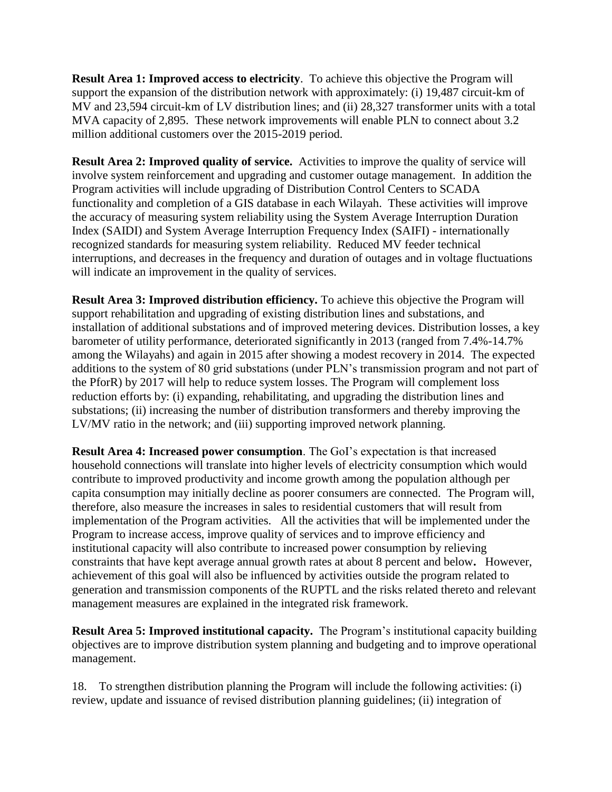**Result Area 1: Improved access to electricity**. To achieve this objective the Program will support the expansion of the distribution network with approximately: (i) 19,487 circuit-km of MV and 23,594 circuit-km of LV distribution lines; and (ii) 28,327 transformer units with a total MVA capacity of 2,895. These network improvements will enable PLN to connect about 3.2 million additional customers over the 2015-2019 period.

**Result Area 2: Improved quality of service.** Activities to improve the quality of service will involve system reinforcement and upgrading and customer outage management. In addition the Program activities will include upgrading of Distribution Control Centers to SCADA functionality and completion of a GIS database in each Wilayah. These activities will improve the accuracy of measuring system reliability using the System Average Interruption Duration Index (SAIDI) and System Average Interruption Frequency Index (SAIFI) - internationally recognized standards for measuring system reliability. Reduced MV feeder technical interruptions, and decreases in the frequency and duration of outages and in voltage fluctuations will indicate an improvement in the quality of services.

**Result Area 3: Improved distribution efficiency.** To achieve this objective the Program will support rehabilitation and upgrading of existing distribution lines and substations, and installation of additional substations and of improved metering devices. Distribution losses, a key barometer of utility performance, deteriorated significantly in 2013 (ranged from 7.4%-14.7% among the Wilayahs) and again in 2015 after showing a modest recovery in 2014. The expected additions to the system of 80 grid substations (under PLN's transmission program and not part of the PforR) by 2017 will help to reduce system losses. The Program will complement loss reduction efforts by: (i) expanding, rehabilitating, and upgrading the distribution lines and substations; (ii) increasing the number of distribution transformers and thereby improving the LV/MV ratio in the network; and (iii) supporting improved network planning.

**Result Area 4: Increased power consumption**. The GoI's expectation is that increased household connections will translate into higher levels of electricity consumption which would contribute to improved productivity and income growth among the population although per capita consumption may initially decline as poorer consumers are connected. The Program will, therefore, also measure the increases in sales to residential customers that will result from implementation of the Program activities. All the activities that will be implemented under the Program to increase access, improve quality of services and to improve efficiency and institutional capacity will also contribute to increased power consumption by relieving constraints that have kept average annual growth rates at about 8 percent and below**.** However, achievement of this goal will also be influenced by activities outside the program related to generation and transmission components of the RUPTL and the risks related thereto and relevant management measures are explained in the integrated risk framework.

**Result Area 5: Improved institutional capacity.** The Program's institutional capacity building objectives are to improve distribution system planning and budgeting and to improve operational management.

18. To strengthen distribution planning the Program will include the following activities: (i) review, update and issuance of revised distribution planning guidelines; (ii) integration of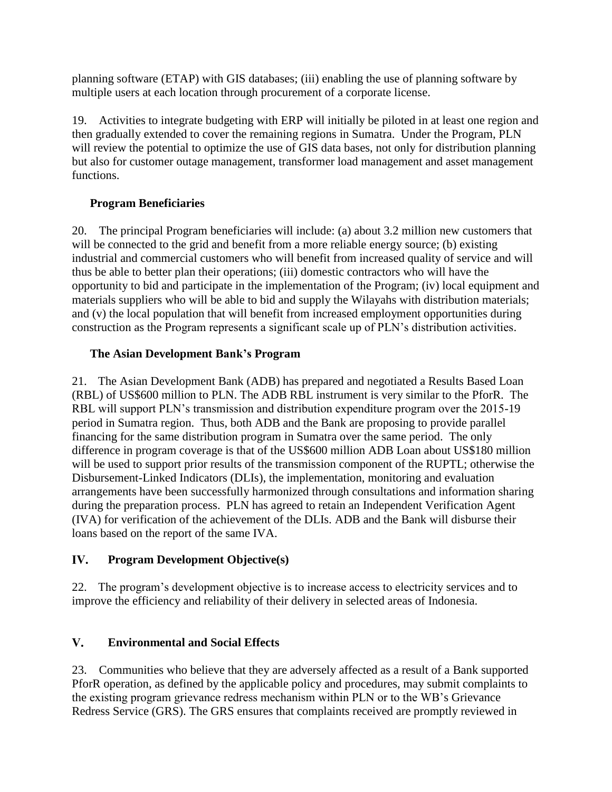planning software (ETAP) with GIS databases; (iii) enabling the use of planning software by multiple users at each location through procurement of a corporate license.

19. Activities to integrate budgeting with ERP will initially be piloted in at least one region and then gradually extended to cover the remaining regions in Sumatra. Under the Program, PLN will review the potential to optimize the use of GIS data bases, not only for distribution planning but also for customer outage management, transformer load management and asset management functions.

# **Program Beneficiaries**

20. The principal Program beneficiaries will include: (a) about 3.2 million new customers that will be connected to the grid and benefit from a more reliable energy source; (b) existing industrial and commercial customers who will benefit from increased quality of service and will thus be able to better plan their operations; (iii) domestic contractors who will have the opportunity to bid and participate in the implementation of the Program; (iv) local equipment and materials suppliers who will be able to bid and supply the Wilayahs with distribution materials; and (v) the local population that will benefit from increased employment opportunities during construction as the Program represents a significant scale up of PLN's distribution activities.

# **The Asian Development Bank's Program**

21. The Asian Development Bank (ADB) has prepared and negotiated a Results Based Loan (RBL) of US\$600 million to PLN. The ADB RBL instrument is very similar to the PforR. The RBL will support PLN's transmission and distribution expenditure program over the 2015-19 period in Sumatra region. Thus, both ADB and the Bank are proposing to provide parallel financing for the same distribution program in Sumatra over the same period. The only difference in program coverage is that of the US\$600 million ADB Loan about US\$180 million will be used to support prior results of the transmission component of the RUPTL; otherwise the Disbursement-Linked Indicators (DLIs), the implementation, monitoring and evaluation arrangements have been successfully harmonized through consultations and information sharing during the preparation process. PLN has agreed to retain an Independent Verification Agent (IVA) for verification of the achievement of the DLIs. ADB and the Bank will disburse their loans based on the report of the same IVA.

#### IV. **Program Development Objective(s)**

22. The program's development objective is to increase access to electricity services and to improve the efficiency and reliability of their delivery in selected areas of Indonesia.

#### $V_{\bullet}$ **Environmental and Social Effects**

23. Communities who believe that they are adversely affected as a result of a Bank supported PforR operation, as defined by the applicable policy and procedures, may submit complaints to the existing program grievance redress mechanism within PLN or to the WB's Grievance Redress Service (GRS). The GRS ensures that complaints received are promptly reviewed in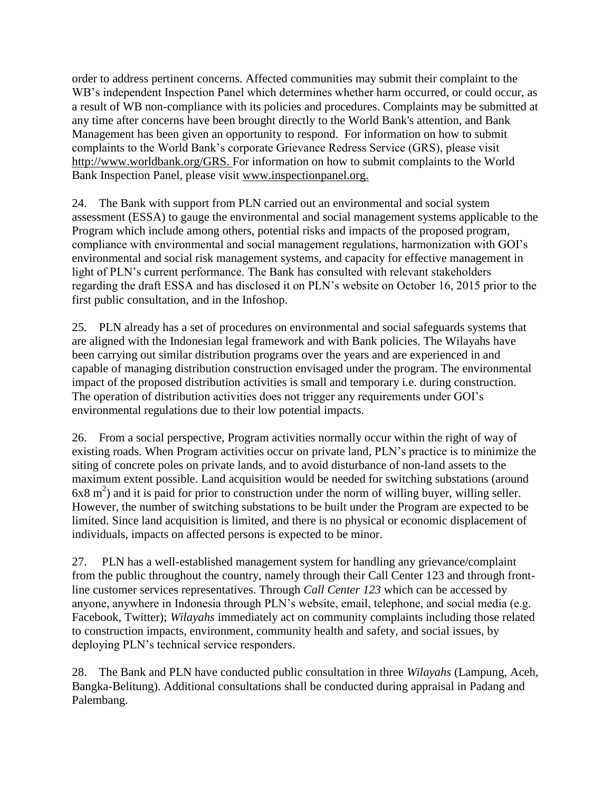order to address pertinent concerns. Affected communities may submit their complaint to the WB's independent Inspection Panel which determines whether harm occurred, or could occur, as a result of WB non-compliance with its policies and procedures. Complaints may be submitted at any time after concerns have been brought directly to the World Bank's attention, and Bank Management has been given an opportunity to respond. For information on how to submit complaints to the World Bank's corporate Grievance Redress Service (GRS), please visit [http://www.worldbank.org/GRS.](http://www.worldbank.org/GRM) For information on how to submit complaints to the World Bank Inspection Panel, please visit [www.inspectionpanel.org.](http://www.inspectionpanel.org/)

24. The Bank with support from PLN carried out an environmental and social system assessment (ESSA) to gauge the environmental and social management systems applicable to the Program which include among others, potential risks and impacts of the proposed program, compliance with environmental and social management regulations, harmonization with GOI's environmental and social risk management systems, and capacity for effective management in light of PLN's current performance. The Bank has consulted with relevant stakeholders regarding the draft ESSA and has disclosed it on PLN's website on October 16, 2015 prior to the first public consultation, and in the Infoshop.

25. PLN already has a set of procedures on environmental and social safeguards systems that are aligned with the Indonesian legal framework and with Bank policies. The Wilayahs have been carrying out similar distribution programs over the years and are experienced in and capable of managing distribution construction envisaged under the program. The environmental impact of the proposed distribution activities is small and temporary i.e. during construction. The operation of distribution activities does not trigger any requirements under GOI's environmental regulations due to their low potential impacts.

26. From a social perspective, Program activities normally occur within the right of way of existing roads. When Program activities occur on private land, PLN's practice is to minimize the siting of concrete poles on private lands, and to avoid disturbance of non-land assets to the maximum extent possible. Land acquisition would be needed for switching substations (around  $6x8 \text{ m}^2$ ) and it is paid for prior to construction under the norm of willing buyer, willing seller. However, the number of switching substations to be built under the Program are expected to be limited. Since land acquisition is limited, and there is no physical or economic displacement of individuals, impacts on affected persons is expected to be minor.

27. PLN has a well-established management system for handling any grievance/complaint from the public throughout the country, namely through their Call Center 123 and through frontline customer services representatives. Through *Call Center 123* which can be accessed by anyone, anywhere in Indonesia through PLN's website, email, telephone, and social media (e.g. Facebook, Twitter); *Wilayahs* immediately act on community complaints including those related to construction impacts, environment, community health and safety, and social issues, by deploying PLN's technical service responders.

28. The Bank and PLN have conducted public consultation in three *Wilayahs* (Lampung, Aceh, Bangka-Belitung). Additional consultations shall be conducted during appraisal in Padang and Palembang.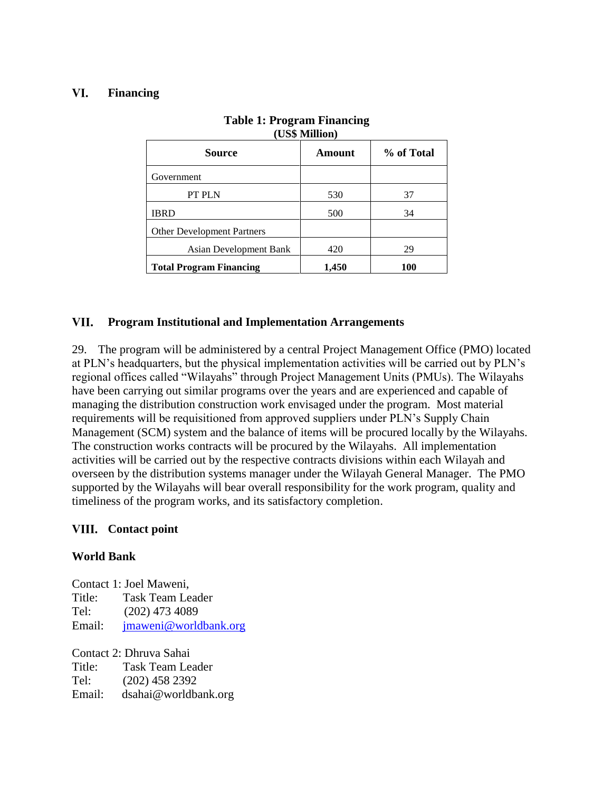#### VI. **Financing**

| $\sqrt{2}$                        |        |            |  |
|-----------------------------------|--------|------------|--|
| <b>Source</b>                     | Amount | % of Total |  |
| Government                        |        |            |  |
| PT PLN                            | 530    | 37         |  |
| <b>IBRD</b>                       | 500    | 34         |  |
| <b>Other Development Partners</b> |        |            |  |
| Asian Development Bank            | 420    | 29         |  |
| <b>Total Program Financing</b>    | 1,450  | 100        |  |

### **Table 1: Program Financing (US\$ Million)**

#### VII. **Program Institutional and Implementation Arrangements**

29. The program will be administered by a central Project Management Office (PMO) located at PLN's headquarters, but the physical implementation activities will be carried out by PLN's regional offices called "Wilayahs" through Project Management Units (PMUs). The Wilayahs have been carrying out similar programs over the years and are experienced and capable of managing the distribution construction work envisaged under the program. Most material requirements will be requisitioned from approved suppliers under PLN's Supply Chain Management (SCM) system and the balance of items will be procured locally by the Wilayahs. The construction works contracts will be procured by the Wilayahs. All implementation activities will be carried out by the respective contracts divisions within each Wilayah and overseen by the distribution systems manager under the Wilayah General Manager. The PMO supported by the Wilayahs will bear overall responsibility for the work program, quality and timeliness of the program works, and its satisfactory completion.

### VIII. Contact point

### **World Bank**

Contact 1: Joel Maweni, Title: Task Team Leader Tel: (202) 473 4089 Email: [jmaweni@worldbank.org](mailto:jmaweni@worldbank.org)

Contact 2: Dhruva Sahai

Title: Task Team Leader

Tel: (202) 458 2392

Email: dsahai@worldbank.org